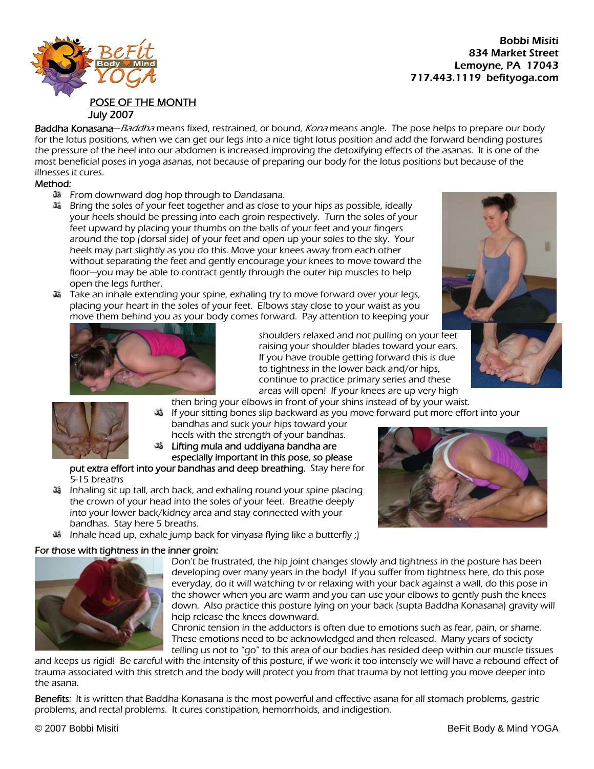## $\mathbb{R}^{\mathsf{old}}$  834 Market Street Lemoyne, PA 17043 717.443.1119 befityoga.com



POSE OF THE MONTH

Baddha Konasana-Baddha means fixed, restrained, or bound, Kona means angle. The pose helps to prepare our body for the lotus positions, when we can get our legs into a nice tight lotus position and add the forward bending postures the pressure of the heel into our abdomen is increased improving the detoxifying effects of the asanas. It is one of the most beneficial poses in yoga asanas, not because of preparing our body for the lotus positions but because of the illnesses it cures.

## Method:

- From downward dog hop through to Dandasana.
- Bring the soles of your feet together and as close to your hips as possible, ideally your heels should be pressing into each groin respectively. Turn the soles of your feet upward by placing your thumbs on the balls of your feet and your fingers around the top (dorsal side) of your feet and open up your soles to the sky. Your heels may part slightly as you do this. Move your knees away from each other without separating the feet and gently encourage your knees to move toward the floor—you may be able to contract gently through the outer hip muscles to help open the legs further.
- move them behind you as your body comes forward. Pay attention to keeping your Take an inhale extending your spine, exhaling try to move forward over your legs, placing your heart in the soles of your feet. Elbows stay close to your waist as you





shoulders relaxed and not pulling on your feet raising your shoulder blades toward your ears. If you have trouble getting forward this is due to tightness in the lower back and/or hips, continue to practice primary series and these areas will open! If your knees are up very high

then bring your elbows in front of your shins instead of by your waist.



-35 If your sitting bones slip backward as you move forward put more effort into your bandhas and suck your hips toward your heels with the strength of your bandhas.

especially important in this pose, so please Lifting mula and uddiyana bandha are

put extra effort into your bandhas and deep breathing. Stay here for 5-15 breaths

- š Inhaling sit up tall, arch back, and exhaling round your spine placing the crown of your head into the soles of your feet. Breathe deeply into your lower back/kidney area and stay connected with your bandhas. Stay here 5 breaths.
- Inhale head up, exhale jump back for vinyasa flying like a butterfly ;)

## For those with tightness in the inner groin:



Don't be frustrated, the hip joint changes slowly and tightness in the posture has been down. Also practice this posture lying on your back (supta Baddha Konasana) gravity will developing over many years in the body! If you suffer from tightness here, do this pose everyday, do it will watching tv or relaxing with your back against a wall, do this pose in the shower when you are warm and you can use your elbows to gently push the knees help release the knees downward.

Chronic tension in the adductors is often due to emotions such as fear, pain, or shame. telling us not to "go" to this area of our bodies has resided deep within our muscle tissues These emotions need to be acknowledged and then released. Many years of society

and keeps us rigid! Be careful with the intensity of this posture, if we work it too intensely we will have a rebound effect of trauma associated with this stretch and the body will protect you from that trauma by not letting you move deeper into the asana.

Benefits: It is written that Baddha Konasana is the most powerful and effective asana for all stomach problems, gastric problems, and rectal problems. It cures constipation, hemorrhoids, and indigestion.